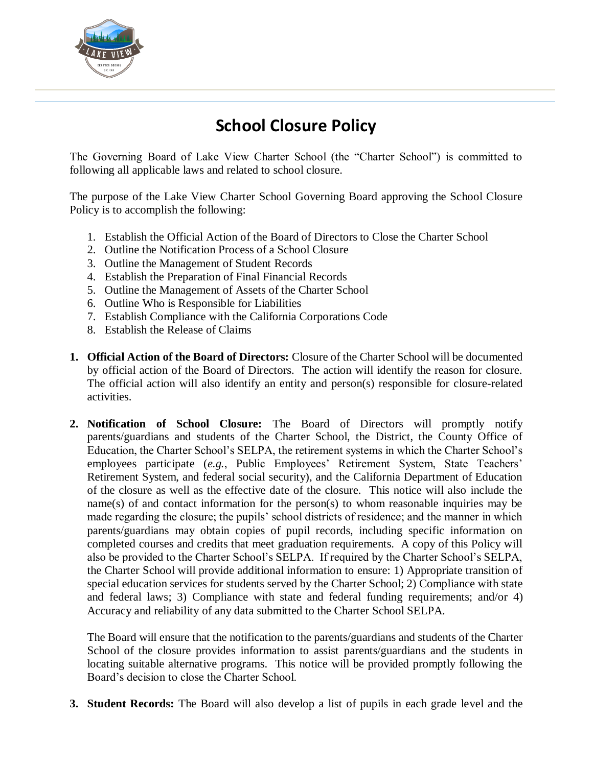

## **School Closure Policy**

The Governing Board of Lake View Charter School (the "Charter School") is committed to following all applicable laws and related to school closure.

The purpose of the Lake View Charter School Governing Board approving the School Closure Policy is to accomplish the following:

- 1. Establish the Official Action of the Board of Directors to Close the Charter School
- 2. Outline the Notification Process of a School Closure
- 3. Outline the Management of Student Records
- 4. Establish the Preparation of Final Financial Records
- 5. Outline the Management of Assets of the Charter School
- 6. Outline Who is Responsible for Liabilities
- 7. Establish Compliance with the California Corporations Code
- 8. Establish the Release of Claims
- **1. Official Action of the Board of Directors:** Closure of the Charter School will be documented by official action of the Board of Directors. The action will identify the reason for closure. The official action will also identify an entity and person(s) responsible for closure-related activities.
- **2. Notification of School Closure:** The Board of Directors will promptly notify parents/guardians and students of the Charter School, the District, the County Office of Education, the Charter School's SELPA, the retirement systems in which the Charter School's employees participate (*e.g.*, Public Employees' Retirement System, State Teachers' Retirement System, and federal social security), and the California Department of Education of the closure as well as the effective date of the closure. This notice will also include the name(s) of and contact information for the person(s) to whom reasonable inquiries may be made regarding the closure; the pupils' school districts of residence; and the manner in which parents/guardians may obtain copies of pupil records, including specific information on completed courses and credits that meet graduation requirements. A copy of this Policy will also be provided to the Charter School's SELPA. If required by the Charter School's SELPA, the Charter School will provide additional information to ensure: 1) Appropriate transition of special education services for students served by the Charter School; 2) Compliance with state and federal laws; 3) Compliance with state and federal funding requirements; and/or 4) Accuracy and reliability of any data submitted to the Charter School SELPA.

The Board will ensure that the notification to the parents/guardians and students of the Charter School of the closure provides information to assist parents/guardians and the students in locating suitable alternative programs. This notice will be provided promptly following the Board's decision to close the Charter School.

**3. Student Records:** The Board will also develop a list of pupils in each grade level and the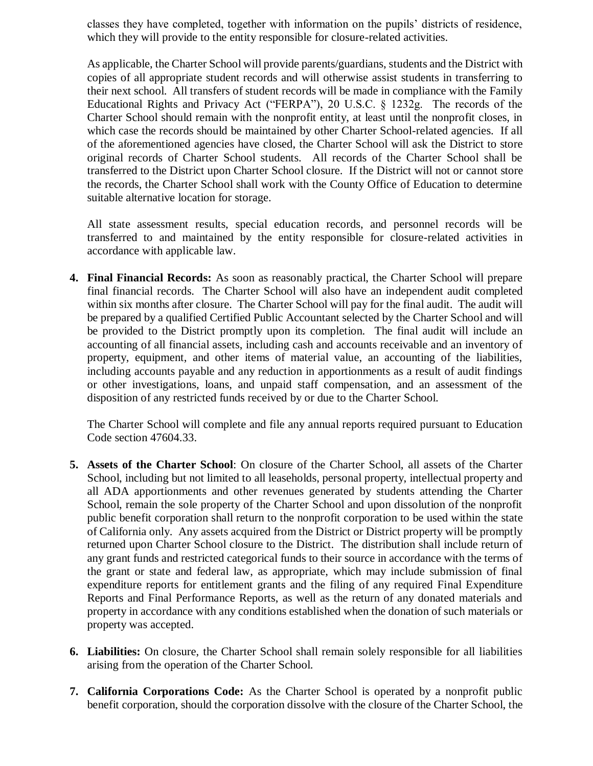classes they have completed, together with information on the pupils' districts of residence, which they will provide to the entity responsible for closure-related activities.

As applicable, the Charter School will provide parents/guardians, students and the District with copies of all appropriate student records and will otherwise assist students in transferring to their next school. All transfers of student records will be made in compliance with the Family Educational Rights and Privacy Act ("FERPA"), 20 U.S.C. § 1232g. The records of the Charter School should remain with the nonprofit entity, at least until the nonprofit closes, in which case the records should be maintained by other Charter School-related agencies. If all of the aforementioned agencies have closed, the Charter School will ask the District to store original records of Charter School students. All records of the Charter School shall be transferred to the District upon Charter School closure. If the District will not or cannot store the records, the Charter School shall work with the County Office of Education to determine suitable alternative location for storage.

All state assessment results, special education records, and personnel records will be transferred to and maintained by the entity responsible for closure-related activities in accordance with applicable law.

**4. Final Financial Records:** As soon as reasonably practical, the Charter School will prepare final financial records. The Charter School will also have an independent audit completed within six months after closure. The Charter School will pay for the final audit. The audit will be prepared by a qualified Certified Public Accountant selected by the Charter School and will be provided to the District promptly upon its completion. The final audit will include an accounting of all financial assets, including cash and accounts receivable and an inventory of property, equipment, and other items of material value, an accounting of the liabilities, including accounts payable and any reduction in apportionments as a result of audit findings or other investigations, loans, and unpaid staff compensation, and an assessment of the disposition of any restricted funds received by or due to the Charter School.

The Charter School will complete and file any annual reports required pursuant to Education Code section 47604.33.

- **5. Assets of the Charter School**: On closure of the Charter School, all assets of the Charter School, including but not limited to all leaseholds, personal property, intellectual property and all ADA apportionments and other revenues generated by students attending the Charter School, remain the sole property of the Charter School and upon dissolution of the nonprofit public benefit corporation shall return to the nonprofit corporation to be used within the state of California only. Any assets acquired from the District or District property will be promptly returned upon Charter School closure to the District. The distribution shall include return of any grant funds and restricted categorical funds to their source in accordance with the terms of the grant or state and federal law, as appropriate, which may include submission of final expenditure reports for entitlement grants and the filing of any required Final Expenditure Reports and Final Performance Reports, as well as the return of any donated materials and property in accordance with any conditions established when the donation of such materials or property was accepted.
- **6. Liabilities:** On closure, the Charter School shall remain solely responsible for all liabilities arising from the operation of the Charter School.
- **7. California Corporations Code:** As the Charter School is operated by a nonprofit public benefit corporation, should the corporation dissolve with the closure of the Charter School, the